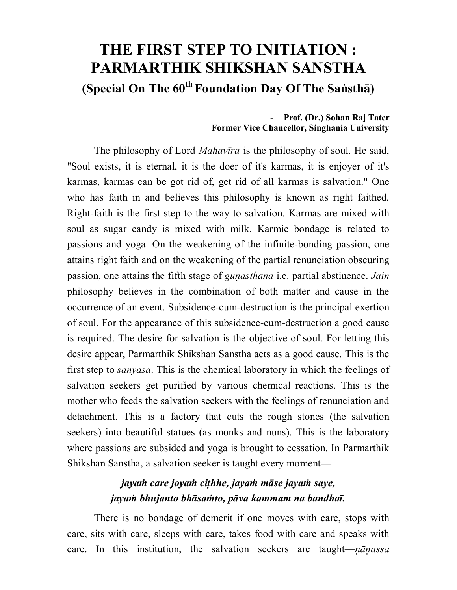## **THE FIRST STEP TO INITIATION : PARMARTHIK SHIKSHAN SANSTHA (Special On The 60th Foundation Day Of The Sasth)**

## - **Prof. (Dr.) Sohan Raj Tater Former Vice Chancellor, Singhania University**

The philosophy of Lord *Mahavra* is the philosophy of soul. He said, "Soul exists, it is eternal, it is the doer of it's karmas, it is enjoyer of it's karmas, karmas can be got rid of, get rid of all karmas is salvation." One who has faith in and believes this philosophy is known as right faithed. Right-faith is the first step to the way to salvation. Karmas are mixed with soul as sugar candy is mixed with milk. Karmic bondage is related to passions and yoga. On the weakening of the infinite-bonding passion, one attains right faith and on the weakening of the partial renunciation obscuring passion, one attains the fifth stage of *guasthna* i.e. partial abstinence. *Jain* philosophy believes in the combination of both matter and cause in the occurrence of an event. Subsidence-cum-destruction is the principal exertion of soul. For the appearance of this subsidence-cum-destruction a good cause is required. The desire for salvation is the objective of soul. For letting this desire appear, Parmarthik Shikshan Sanstha acts as a good cause. This is the first step to *sanysa*. This is the chemical laboratory in which the feelings of salvation seekers get purified by various chemical reactions. This is the mother who feeds the salvation seekers with the feelings of renunciation and detachment. This is a factory that cuts the rough stones (the salvation seekers) into beautiful statues (as monks and nuns). This is the laboratory where passions are subsided and yoga is brought to cessation. In Parmarthik Shikshan Sanstha, a salvation seeker is taught every moment—

## *jaya care joya cihhe, jaya mse jaya saye, jaya bhujanto bhsato, pva kammam na bandha.*

There is no bondage of demerit if one moves with care, stops with care, sits with care, sleeps with care, takes food with care and speaks with care. In this institution, the salvation seekers are taught—*nānassa*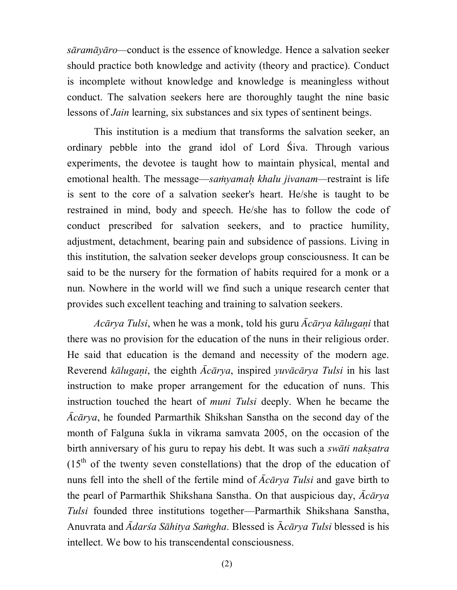*sramyro—*conduct is the essence of knowledge. Hence a salvation seeker should practice both knowledge and activity (theory and practice). Conduct is incomplete without knowledge and knowledge is meaningless without conduct. The salvation seekers here are thoroughly taught the nine basic lessons of *Jain* learning, six substances and six types of sentinent beings.

This institution is a medium that transforms the salvation seeker, an ordinary pebble into the grand idol of Lord Siva. Through various experiments, the devotee is taught how to maintain physical, mental and emotional health. The message—*samyamah khalu jivanam*—restraint is life is sent to the core of a salvation seeker's heart. He/she is taught to be restrained in mind, body and speech. He/she has to follow the code of conduct prescribed for salvation seekers, and to practice humility, adjustment, detachment, bearing pain and subsidence of passions. Living in this institution, the salvation seeker develops group consciousness. It can be said to be the nursery for the formation of habits required for a monk or a nun. Nowhere in the world will we find such a unique research center that provides such excellent teaching and training to salvation seekers.

*Acārya Tulsi*, when he was a monk, told his guru *Acārya kālugani* that there was no provision for the education of the nuns in their religious order. He said that education is the demand and necessity of the modern age. Reverend *kālugani*, the eighth *Ācārya*, inspired *yuvācārya Tulsi* in his last instruction to make proper arrangement for the education of nuns. This instruction touched the heart of *muni Tulsi* deeply. When he became the *crya*, he founded Parmarthik Shikshan Sanstha on the second day of the month of Falguna sukla in vikrama samvata 2005, on the occasion of the birth anniversary of his guru to repay his debt. It was such a *swti nakatra*  $(15<sup>th</sup>$  of the twenty seven constellations) that the drop of the education of nuns fell into the shell of the fertile mind of  $\bar{A}c\bar{a}rya$  Tulsi and gave birth to the pearl of Parmarthik Shikshana Sanstha. On that auspicious day,  $\bar{A}c\bar{a}rva$ *Tulsi* founded three institutions together—Parmarthik Shikshana Sanstha, Anuvrata and *Ādarśa Sāhitya Samgha*. Blessed is *Ācārya Tulsi* blessed is his intellect. We bow to his transcendental consciousness.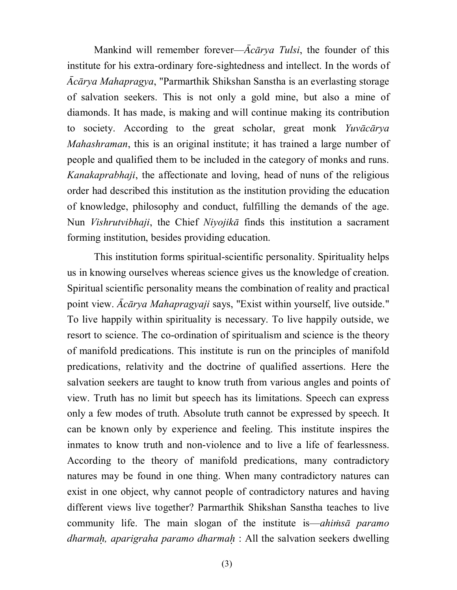Mankind will remember forever—*Acarya Tulsi*, the founder of this institute for his extra-ordinary fore-sightedness and intellect. In the words of *crya Mahapragya*, "Parmarthik Shikshan Sanstha is an everlasting storage of salvation seekers. This is not only a gold mine, but also a mine of diamonds. It has made, is making and will continue making its contribution to society. According to the great scholar, great monk *Yuvcrya Mahashraman*, this is an original institute; it has trained a large number of people and qualified them to be included in the category of monks and runs. *Kanakaprabhaji*, the affectionate and loving, head of nuns of the religious order had described this institution as the institution providing the education of knowledge, philosophy and conduct, fulfilling the demands of the age. Nun *Vishrutvibhaji*, the Chief *Niyojikā* finds this institution a sacrament forming institution, besides providing education.

This institution forms spiritual-scientific personality. Spirituality helps us in knowing ourselves whereas science gives us the knowledge of creation. Spiritual scientific personality means the combination of reality and practical point view. *Acārya Mahapragyaji* says, "Exist within yourself, live outside." To live happily within spirituality is necessary. To live happily outside, we resort to science. The co-ordination of spiritualism and science is the theory of manifold predications. This institute is run on the principles of manifold predications, relativity and the doctrine of qualified assertions. Here the salvation seekers are taught to know truth from various angles and points of view. Truth has no limit but speech has its limitations. Speech can express only a few modes of truth. Absolute truth cannot be expressed by speech. It can be known only by experience and feeling. This institute inspires the inmates to know truth and non-violence and to live a life of fearlessness. According to the theory of manifold predications, many contradictory natures may be found in one thing. When many contradictory natures can exist in one object, why cannot people of contradictory natures and having different views live together? Parmarthik Shikshan Sanstha teaches to live community life. The main slogan of the institute is—*ahimsa paramo dharma, aparigraha paramo dharma* : All the salvation seekers dwelling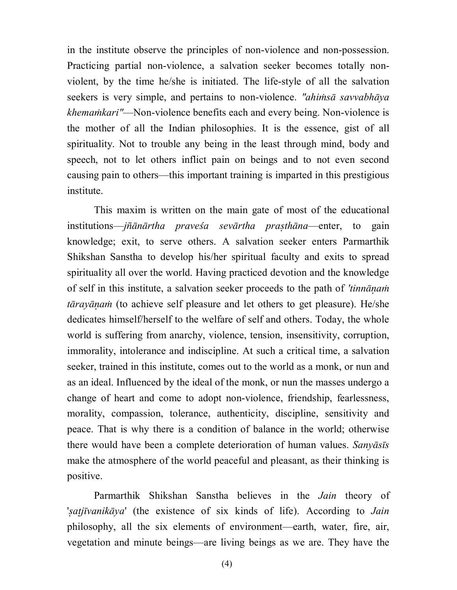in the institute observe the principles of non-violence and non-possession. Practicing partial non-violence, a salvation seeker becomes totally nonviolent, by the time he/she is initiated. The life-style of all the salvation seekers is very simple, and pertains to non-violence. *"ahimsa savvabhaya khemakari"*—Non-violence benefits each and every being. Non-violence is the mother of all the Indian philosophies. It is the essence, gist of all spirituality. Not to trouble any being in the least through mind, body and speech, not to let others inflict pain on beings and to not even second causing pain to others—this important training is imparted in this prestigious institute.

This maxim is written on the main gate of most of the educational institutions—*jñānārtha praveśa sevārtha prasthāna*—enter, to gain knowledge; exit, to serve others. A salvation seeker enters Parmarthik Shikshan Sanstha to develop his/her spiritual faculty and exits to spread spirituality all over the world. Having practiced devotion and the knowledge of self in this institute, a salvation seeker proceeds to the path of *'tinna traya* (to achieve self pleasure and let others to get pleasure). He/she dedicates himself/herself to the welfare of self and others. Today, the whole world is suffering from anarchy, violence, tension, insensitivity, corruption, immorality, intolerance and indiscipline. At such a critical time, a salvation seeker, trained in this institute, comes out to the world as a monk, or nun and as an ideal. Influenced by the ideal of the monk, or nun the masses undergo a change of heart and come to adopt non-violence, friendship, fearlessness, morality, compassion, tolerance, authenticity, discipline, sensitivity and peace. That is why there is a condition of balance in the world; otherwise there would have been a complete deterioration of human values. *Sanyāsīs* make the atmosphere of the world peaceful and pleasant, as their thinking is positive.

Parmarthik Shikshan Sanstha believes in the *Jain* theory of '*ajvanikya*' (the existence of six kinds of life). According to *Jain* philosophy, all the six elements of environment—earth, water, fire, air, vegetation and minute beings—are living beings as we are. They have the